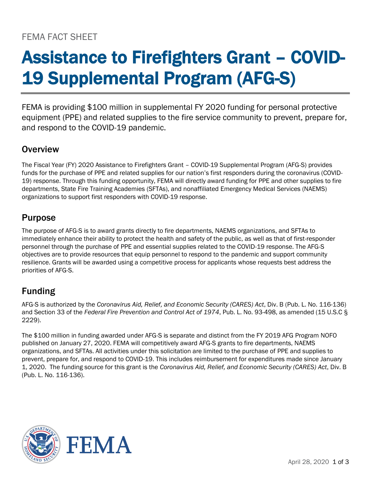## FEMA FACT SHEET

# Assistance to Firefighters Grant – COVID-19 Supplemental Program (AFG-S)

FEMA is providing \$100 million in supplemental FY 2020 funding for personal protective equipment (PPE) and related supplies to the fire service community to prevent, prepare for, and respond to the COVID-19 pandemic.

## **Overview**

The Fiscal Year (FY) 2020 Assistance to Firefighters Grant – COVID-19 Supplemental Program (AFG-S) provides funds for the purchase of PPE and related supplies for our nation's first responders during the coronavirus (COVID-19) response. Through this funding opportunity, FEMA will directly award funding for PPE and other supplies to fire departments, State Fire Training Academies (SFTAs), and nonaffiliated Emergency Medical Services (NAEMS) organizations to support first responders with COVID-19 response.

## Purpose

The purpose of AFG-S is to award grants directly to fire departments, NAEMS organizations, and SFTAs to immediately enhance their ability to protect the health and safety of the public, as well as that of first-responder personnel through the purchase of PPE and essential supplies related to the COVID-19 response. The AFG-S objectives are to provide resources that equip personnel to respond to the pandemic and support community resilience. Grants will be awarded using a competitive process for applicants whose requests best address the priorities of AFG-S.

## Funding

AFG-S is authorized by the *Coronavirus Aid, Relief, and Economic Security (CARES) Act*, Div. B (Pub. L. No. 116-136) and Section 33 of the *Federal Fire Prevention and Control Act of 1974*, Pub. L. No. 93-498, as amended (15 U.S.C § 2229).

The \$100 million in funding awarded under AFG-S is separate and distinct from the FY 2019 AFG Program NOFO published on January 27, 2020. FEMA will competitively award AFG-S grants to fire departments, NAEMS organizations, and SFTAs. All activities under this solicitation are limited to the purchase of PPE and supplies to prevent, prepare for, and respond to COVID-19. This includes reimbursement for expenditures made since January 1, 2020. The funding source for this grant is the *Coronavirus Aid, Relief, and Economic Security (CARES) Act*, Div. B (Pub. L. No. 116-136).

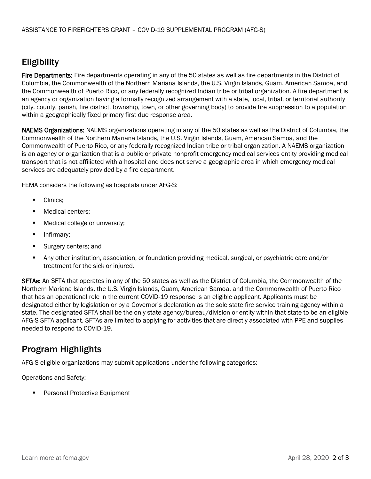## Eligibility

Fire Departments: Fire departments operating in any of the 50 states as well as fire departments in the District of Columbia, the Commonwealth of the Northern Mariana Islands, the U.S. Virgin Islands, Guam, American Samoa, and the Commonwealth of Puerto Rico, or any federally recognized Indian tribe or tribal organization. A fire department is an agency or organization having a formally recognized arrangement with a state, local, tribal, or territorial authority (city, county, parish, fire district, township, town, or other governing body) to provide fire suppression to a population within a geographically fixed primary first due response area.

NAEMS Organizations: NAEMS organizations operating in any of the 50 states as well as the District of Columbia, the Commonwealth of the Northern Mariana Islands, the U.S. Virgin Islands, Guam, American Samoa, and the Commonwealth of Puerto Rico, or any federally recognized Indian tribe or tribal organization. A NAEMS organization is an agency or organization that is a public or private nonprofit emergency medical services entity providing medical transport that is not affiliated with a hospital and does not serve a geographic area in which emergency medical services are adequately provided by a fire department.

FEMA considers the following as hospitals under AFG-S:

- Clinics:
- Medical centers;
- Medical college or university;
- **■** Infirmary;
- Surgery centers; and
- Any other institution, association, or foundation providing medical, surgical, or psychiatric care and/or treatment for the sick or injured.

**SFTAs:** An SFTA that operates in any of the 50 states as well as the District of Columbia, the Commonwealth of the Northern Mariana Islands, the U.S. Virgin Islands, Guam, American Samoa, and the Commonwealth of Puerto Rico that has an operational role in the current COVID-19 response is an eligible applicant. Applicants must be designated either by legislation or by a Governor's declaration as the sole state fire service training agency within a state. The designated SFTA shall be the only state agency/bureau/division or entity within that state to be an eligible AFG-S SFTA applicant. SFTAs are limited to applying for activities that are directly associated with PPE and supplies needed to respond to COVID-19.

## Program Highlights

AFG-S eligible organizations may submit applications under the following categories:

Operations and Safety:

Personal Protective Equipment